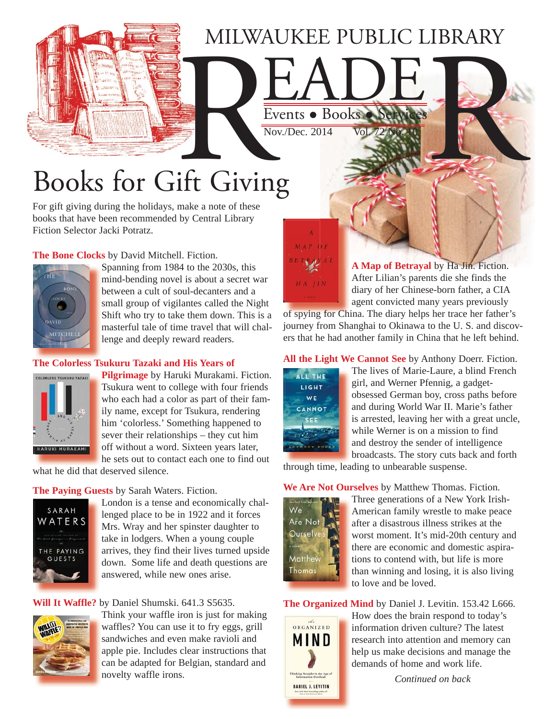## MILWAUKEE PUBLIC LIBRARY

# Events . Books . Service Books for Gift Giving

For gift giving during the holidays, make a note of these books that have been recommended by Central Library Fiction Selector Jacki Potratz.

#### **The Bone Clocks** by David Mitchell. Fiction.



Spanning from 1984 to the 2030s, this mind-bending novel is about a secret war between a cult of soul-decanters and a small group of vigilantes called the Night [Shift who try to take them down. This is a](https://encore.mcfls.org/iii/encore/record/C__Rb3762627)  masterful tale of time travel that will challenge and deeply reward readers.

#### **[The Colorless Tsukuru Tazaki and His Years of](https://encore.mcfls.org/iii/encore/record/C__Rb3745794)**



**Pilgrimage** by Haruki Murakami. Fiction. Tsukura went to college with four friends who each had a color as part of their family name, except for Tsukura, rendering him 'colorless.' Something happened to sever their relationships – they cut him off without a word. Sixteen years later, he sets out to contact each one to find out

what he did that deserved silence.

#### **The Paying Guests** by Sarah Waters. Fiction.



London is a tense and economically challenged place to be in 1922 and it forces Mrs. Wray and her spinster daughter to take in lodgers. When a young couple [arrives, they find their lives turned upside](https://encore.mcfls.org/iii/encore/record/C__Rb3750561)  down. Some life and death questions are answered, while new ones arise.

#### **Will It Waffle?** by Daniel Shumski. 641.3 S5635.



[Think your waffle iron is just for making](https://encore.mcfls.org/iii/encore/record/C__Rb3766431)  waffles? You can use it to fry eggs, grill sandwiches and even make ravioli and apple pie. Includes clear instructions that can be adapted for Belgian, standard and novelty waffle irons.



Events . Books

 $Nov<sub>1</sub>/Dec. 2014$ 

**A Map of Betrayal** by Ha Jin. Fiction. After Lilian's parents die she finds the diary of her Chinese-born father, a CIA agent convicted many years previously

of spying for China. The diary helps her trace her father's [journey from Shanghai to Okinawa to the U. S. and discov](https://encore.mcfls.org/iii/encore/record/C__Rb3765580)ers that he had another family in China that he left behind.

**All the Light We Cannot See** by Anthony Doerr. Fiction.



The lives of Marie-Laure, a blind French girl, and Werner Pfennig, a gadgetobsessed German boy, cross paths before and during World War II. Marie's father is arrested, leaving her with a great uncle, while Werner is on a mission to find and destroy the sender of intelligence broadcasts. The story cuts back and forth

through time, leading to unbearable suspense.

#### **We Are Not Ourselves** by Matthew Thomas. Fiction.



Three generations of a New York Irish-American family wrestle to make peace after a disastrous illness strikes at the [worst moment. It's mid-20th century and](https://encore.mcfls.org/iii/encore/record/C__Rb3742329)  there are economic and domestic aspirations to contend with, but life is more than winning and losing, it is also living to love and be loved.

#### **The Organized Mind** by Daniel J. Levitin. 153.42 L666.



How does the brain respond to today's information driven culture? The latest [research into attention and memory can](https://encore.mcfls.org/iii/encore/record/C__Rb3750649)  help us make decisions and manage the demands of home and work life.

*Continued on back*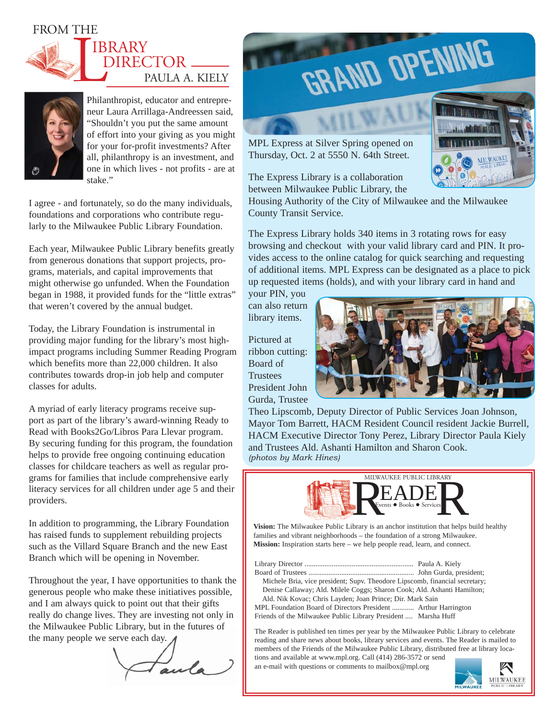#### FROM THE





Philanthropist, educator and entrepreneur Laura Arrillaga-Andreessen said, "Shouldn't you put the same amount of effort into your giving as you might for your for-profit investments? After all, philanthropy is an investment, and one in which lives - not profits - are at stake."

I agree - and fortunately, so do the many individuals, foundations and corporations who contribute regularly to the Milwaukee Public Library Foundation.

Each year, Milwaukee Public Library benefits greatly from generous donations that support projects, programs, materials, and capital improvements that might otherwise go unfunded. When the Foundation began in 1988, it provided funds for the "little extras" that weren't covered by the annual budget.

Today, the Library Foundation is instrumental in providing major funding for the library's most highimpact programs including Summer Reading Program which benefits more than 22,000 children. It also contributes towards drop-in job help and computer classes for adults.

A myriad of early literacy programs receive support as part of the library's award-winning Ready to Read with Books2Go/Libros Para Llevar program. By securing funding for this program, the foundation helps to provide free ongoing continuing education classes for childcare teachers as well as regular programs for families that include comprehensive early literacy services for all children under age 5 and their providers.

In addition to programming, the Library Foundation has raised funds to supplement rebuilding projects such as the Villard Square Branch and the new East Branch which will be opening in November.

Throughout the year, I have opportunities to thank the generous people who make these initiatives possible, and I am always quick to point out that their gifts really do change lives. They are investing not only in the Milwaukee Public Library, but in the futures of the many people we serve each day.

aula



MPL Express at Silver Spring opened on Thursday, Oct. 2 at 5550 N. 64th Street.

The Express Library is a collaboration between Milwaukee Public Library, the

Housing Authority of the City of Milwaukee and the Milwaukee County Transit Service.

The Express Library holds 340 items in 3 rotating rows for easy browsing and checkout with your valid library card and PIN. It provides access to the online catalog for quick searching and requesting of additional items. MPL Express can be designated as a place to pick up requested items (holds), and with your library card in hand and

your PIN, you can also return library items.

Pictured at ribbon cutting: Board of **Trustees** President John Gurda, Trustee



Theo Lipscomb, Deputy Director of Public Services Joan Johnson, Mayor Tom Barrett, HACM Resident Council resident Jackie Burrell, HACM Executive Director Tony Perez, Library Director Paula Kiely and Trustees Ald. Ashanti Hamilton and Sharon Cook. *(photos by Mark Hines)*



**Vision:** The Milwaukee Public Library is an anchor institution that helps build healthy families and vibrant neighborhoods – the foundation of a strong Milwaukee. **Mission:** Inspiration starts here – we help people read, learn, and connect.

Library Director ............................................................ Paula A. Kiely Board of Trustees .......................................................... John Gurda, president; Michele Bria, vice president; Supv. Theodore Lipscomb, financial secretary; Denise Callaway; Ald. Milele Coggs; Sharon Cook; Ald. Ashanti Hamilton; Ald. Nik Kovac; Chris Layden; Joan Prince; Dir. Mark Sain

MPL Foundation Board of Directors President ............ Arthur Harrington Friends of the Milwaukee Public Library President .... Marsha Huff

The Reader is published ten times per year by the Milwaukee Public Library to celebrate reading and share news about books, library services and events. The Reader is mailed to members of the Friends of the Milwaukee Public Library, distributed free at library locations and available at www.mpl.org. Call (414) 286-3572 or send

an e-mail with questions or comments to mailbox@mpl.org



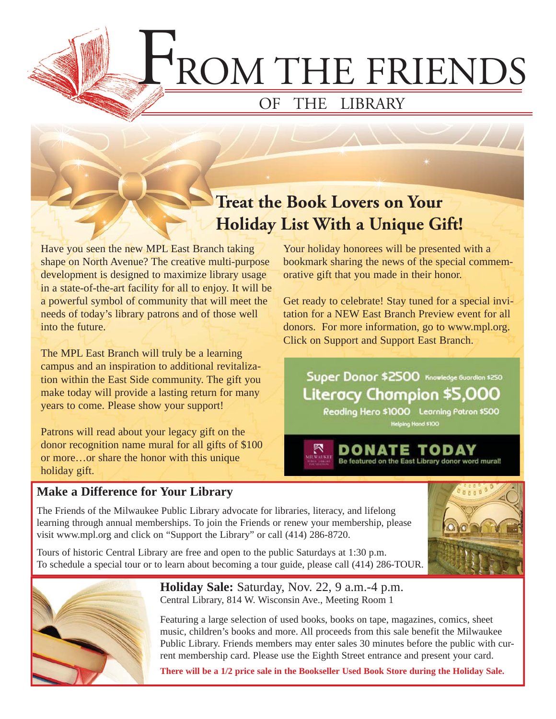F ROM THE FRIENDS

### OF THE LIBRARY

## **Treat the Book Lovers on Your Holiday List With a Unique Gift!**

Have you seen the new MPL East Branch taking shape on North Avenue? The creative multi-purpose development is designed to maximize library usage in a state-of-the-art facility for all to enjoy. It will be a powerful symbol of community that will meet the needs of today's library patrons and of those well into the future.

The MPL East Branch will truly be a learning campus and an inspiration to additional revitalization within the East Side community. The gift you make today will provide a lasting return for many years to come. Please show your support!

Patrons will read about your legacy gift on the donor recognition name mural for all gifts of \$100 or more…or share the honor with this unique holiday gift.

#### **Make a Difference for Your Library**

Your holiday honorees will be presented with a bookmark sharing the news of the special commemorative gift that you made in their honor.

Get ready to celebrate! Stay tuned for a special invitation for a NEW East Branch Preview event for all donors. For more information, go to www.mpl.org. Click on Support and Support East Branch.

Super Donor \$2500 Knowledge Guardian \$250 Literacy Champion \$5,000

Reading Hero \$1000 Learning Patron \$500 **Helping Hand \$100** 

DONATE TODAY Be featured on the East Library donor word mural!

The Friends of the Milwaukee Public Library advocate for libraries, literacy, and lifelong learning through annual memberships. To join the Friends or renew your membership, please visit www.mpl.org and click on "Support the Library" or call (414) 286-8720.

Tours of historic Central Library are free and open to the public Saturdays at 1:30 p.m. To schedule a special tour or to learn about becoming a tour guide, please call (414) 286-TOUR.



**Holiday Sale:** Saturday, Nov. 22, 9 a.m.-4 p.m. Central Library, 814 W. Wisconsin Ave., Meeting Room 1

Featuring a large selection of used books, books on tape, magazines, comics, sheet music, children's books and more. All proceeds from this sale benefit the Milwaukee Public Library. Friends members may enter sales 30 minutes before the public with current membership card. Please use the Eighth Street entrance and present your card.

**There will be a 1/2 price sale in the Bookseller Used Book Store during the Holiday Sale.**

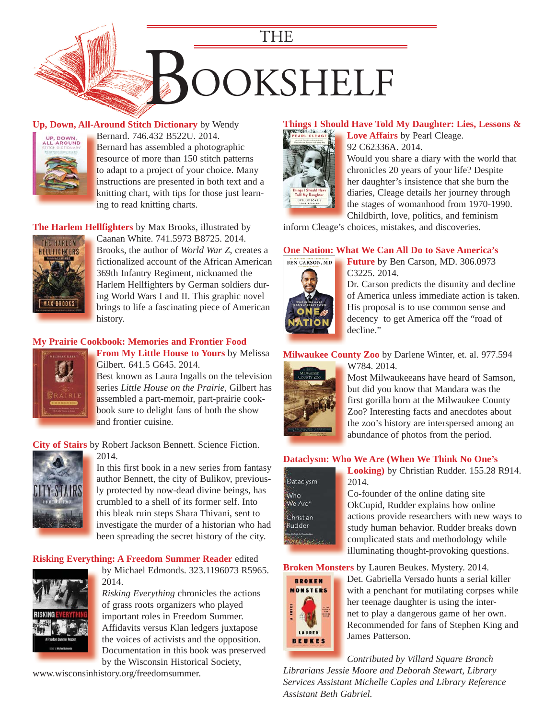

#### **Up, Down, All-Around Stitch Dictionary** by Wendy



Bernard. 746.432 B522U. 2014. B Bernard has assembled a photographic B resource of more than 150 stitch patterns to adapt to a project of your choice. Many t [instructions are presented in both text and a](https://encore.mcfls.org/iii/encore/record/C__Rb3753450)  i knitting chart, with tips for those just learn-k ing to read knitting charts.

#### **The Harlem Hellfighters** by Max Brooks, illustrated by



Caanan White. 741.5973 B8725. 2014. Brooks, the author of *World War Z*, creates a [fictionalized account of the African American](https://encore.mcfls.org/iii/encore/record/C__Rb3738076)  369th Infantry Regiment, nicknamed the Harlem Hellfighters by German soldiers during World Wars I and II. This graphic novel brings to life a fascinating piece of American history.

#### **[My Prairie Cookbook: Memories and Frontier Food](https://encore.mcfls.org/iii/encore/record/C__Rb3770858)**



**From My Little House to Yours** by Melissa **F** Gilbert. 641.5 G645. 2014. G Best known as Laura Ingalls on the television B series Little House on the Prairie, Gilbert has assembled a part-memoir, part-prairie cook-a book sure to delight fans of both the show b

and frontier cuisine. a

**City of Stairs** by Robert Jackson Bennett. Science Fiction.



2014.

[In this first book in a new series from fantasy](https://encore.mcfls.org/iii/encore/record/C__Rb3750572)  author Bennett, the city of Bulikov, previously protected by now-dead divine beings, has crumbled to a shell of its former self. Into this bleak ruin steps Shara Thivani, sent to investigate the murder of a historian who had been spreading the secret history of the city.

#### **[Risking Everything: A Freedom Summer Reader](https://encore.mcfls.org/iii/encore/record/C__Rb3750116)** edited



by Michael Edmonds. 323.1196073 R5965. 2014.

*Risking Everything* chronicles the actions of grass roots organizers who played important roles in Freedom Summer. Affidavits versus Klan ledgers juxtapose the voices of activists and the opposition. Documentation in this book was preserved by the Wisconsin Historical Society,

www.wisconsinhistory.org/freedomsummer.

#### **[Things I Should Have Told My Daughter: Lies, Lessons &](https://encore.mcfls.org/iii/encore/record/C__Rb3738085)**



**Love Affairs** by Pearl Cleage. 92 C62336A. 2014.

Would you share a diary with the world that chronicles 20 years of your life? Despite her daughter's insistence that she burn the diaries, Cleage details her journey through the stages of womanhood from 1970-1990. Childbirth, love, politics, and feminism

inform Cleage's choices, mistakes, and discoveries.

#### **[One Nation: What We Can All Do to Save America's](https://encore.mcfls.org/iii/encore/record/C__Rb3742891)**



**Future** by Ben Carson, MD. 306.0973 C3225. 2014.

Dr. Carson predicts the disunity and decline of America unless immediate action is taken. His proposal is to use common sense and decency to get America off the "road of decline."

#### **Milwaukee County Zoo** by Darlene Winter, et. al. 977.594



W784. 2014. [Most Milwaukeeans have heard of Samson,](https://encore.mcfls.org/iii/encore/record/C__Rb3764475)  but did you know that Mandara was the first gorilla born at the Milwaukee County Zoo? Interesting facts and anecdotes about the zoo's history are interspersed among an

abundance of photos from the period.

#### **[Dataclysm: Who We Are \(When We Think No One's](https://encore.mcfls.org/iii/encore/record/C__Rb3775631)**

Dataclysm .<br>Who We Are\* Christian Rudder

**Looking)** by Christian Rudder. 155.28 R914. 2014. Co-founder of the online dating site

OkCupid, Rudder explains how online actions provide researchers with new ways to study human behavior. Rudder breaks down complicated stats and methodology while illuminating thought-provoking questions.

**Broken Monsters** by Lauren Beukes. Mystery. 2014.



Det. Gabriella Versado hunts a serial killer [with a penchant for mutilating corpses while](https://encore.mcfls.org/iii/encore/record/C__Rb3750565)  her teenage daughter is using the internet to play a dangerous game of her own. Recommended for fans of Stephen King and James Patterson.

*Contributed by Villard Square Branch Librarians Jessie Moore and Deborah Stewart, Library Services Assistant Michelle Caples and Library Reference Assistant Beth Gabriel.*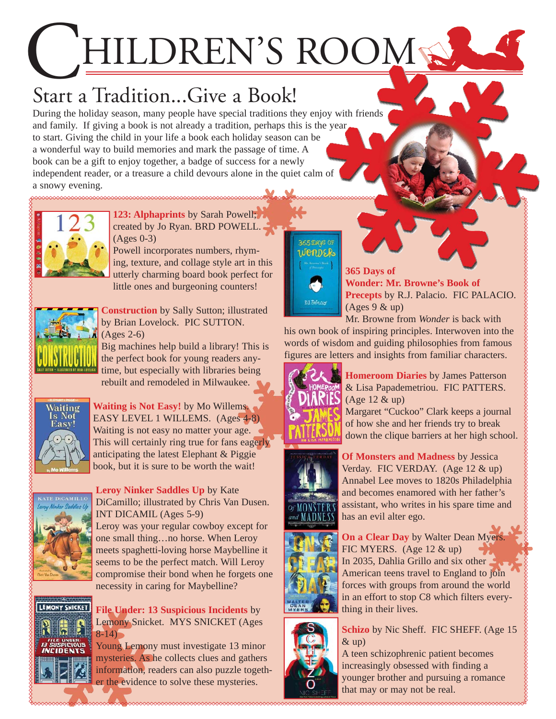## HILDREN'S ROOM

## Start a Tradition...Give a Book!

During the holiday season, many people have special traditions they enjoy with friends and family. If giving a book is not already a tradition, perhaps this is the year to start. Giving the child in your life a book each holiday season can be a wonderful way to build memories and mark the passage of time. A book can be a gift to enjoy together, a badge of success for a newly independent reader, or a treasure a child devours alone in the quiet calm of a snowy evening.



**123: Alphaprints** by Sarah Powell; created by Jo Ryan. BRD POWELL. (Ages 0-3)

Powell incorporates numbers, rhyming, texture, and collage style art in this [utterly charming board book perfect for](https://encore.mcfls.org/iii/encore/record/C__Rb3764248)  little ones and burgeoning counters!



**Construction** by Sally Sutton; illustrated by Brian Lovelock. PIC SUTTON. (Ages 2-6)

[Big machines help build a library! This is](https://encore.mcfls.org/iii/encore/record/C__Rb3764452)  the perfect book for young readers anytime, but especially with libraries being rebuilt and remodeled in Milwaukee.



**Waiting is Not Easy!** by Mo Willems. EASY LEVEL 1 WILLEMS. (Ages 4-8) Waiting is not easy no matter your age. [This will certainly ring true for fans eagerly](https://encore.mcfls.org/iii/encore/record/C__Rb3774162)  anticipating the latest Elephant & Piggie book, but it is sure to be worth the wait!



**Leroy Ninker Saddles Up** by Kate [DiCamillo; illustrated by Chris Van Dusen.](https://encore.mcfls.org/iii/encore/record/C__Rb3770244) INT DICAMIL (Ages 5-9) Leroy was your regular cowboy except for one small thing…no horse. When Leroy meets spaghetti-loving horse Maybelline it seems to be the perfect match. Will Leroy compromise their bond when he forgets one



**File Under: 13 Suspicious Incidents** by Lemony Snicket. MYS SNICKET (Ages  $8-14$ )

Young Lemony must investigate 13 minor mysteries. As he collects clues and gathers [information, readers can also puzzle togeth](https://encore.mcfls.org/iii/encore/record/C__Rb3731759)er the evidence to solve these mysteries.



**365 Days of Wonder: Mr. Browne's Book of Precepts** by R.J. Palacio. FIC PALACIO.  $(Ages 9 & up)$ 

Mr. Browne from *Wonder* is back with [his own book of inspiring principles. Interwoven into the](https://encore.mcfls.org/iii/encore/record/C__Rb3748394)  words of wisdom and guiding philosophies from famous figures are letters and insights from familiar characters.



**Homeroom Diaries** by James Patterson & Lisa Papademetriou. FIC PATTERS. (Age 12 & up)

Margaret "Cuckoo" Clark keeps a journal of how she and her friends try to break [down the clique barriers at her high school.](https://encore.mcfls.org/iii/encore/record/C__Rb3757102) 





**On a Clear Day** by Walter Dean Myers. FIC MYERS. (Age 12 & up) In 2035, Dahlia Grillo and six other American teens travel to England to join [forces with groups from around the world](https://encore.mcfls.org/iii/encore/record/C__Rb3775618)  in an effort to stop C8 which filters everything in their lives.



**Schizo** by Nic Sheff. FIC SHEFF. (Age 15  $&$ up)

A teen schizophrenic patient becomes increasingly obsessed with finding a [younger brother and pursuing a romance](https://encore.mcfls.org/iii/encore/record/C__Rb3770181)  that may or may not be real.